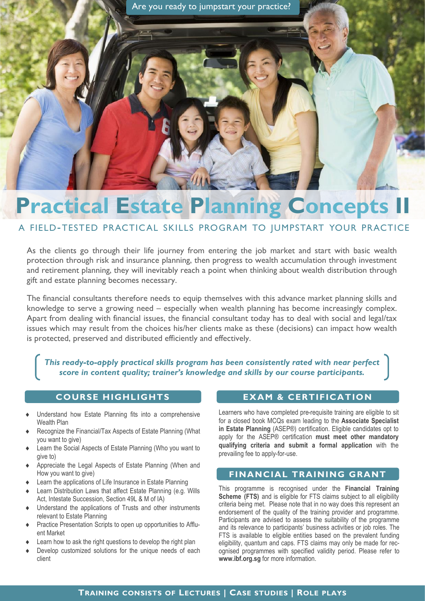# **Practical Estate Planning Concepts**

# A FIELD-TESTED PRACTICAL SKILLS PROGRAM TO JUMPSTART YOUR PRACTICE

As the clients go through their life journey from entering the job market and start with basic wealth protection through risk and insurance planning, then progress to wealth accumulation through investment and retirement planning, they will inevitably reach a point when thinking about wealth distribution through gift and estate planning becomes necessary.

The financial consultants therefore needs to equip themselves with this advance market planning skills and knowledge to serve a growing need – especially when wealth planning has become increasingly complex. Apart from dealing with financial issues, the financial consultant today has to deal with social and legal/tax issues which may result from the choices his/her clients make as these (decisions) can impact how wealth is protected, preserved and distributed efficiently and effectively.

*This ready-to-apply practical skills program has been consistently rated with near perfect score in content quality; trainer's knowledge and skills by our course participants.*

## **COURSE HIGHLIGHTS EXAM & CERTIFICATION**

- Understand how Estate Planning fits into a comprehensive Wealth Plan
- Recognize the Financial/Tax Aspects of Estate Planning (What you want to give)
- Learn the Social Aspects of Estate Planning (Who you want to give to)
- Appreciate the Legal Aspects of Estate Planning (When and How you want to give)
- Learn the applications of Life Insurance in Estate Planning
- Learn Distribution Laws that affect Estate Planning (e.g. Wills Act, Intestate Succession, Section 49L & M of IA)
- Understand the applications of Trusts and other instruments relevant to Estate Planning
- Practice Presentation Scripts to open up opportunities to Affluent Market
- Learn how to ask the right questions to develop the right plan
- Develop customized solutions for the unique needs of each client

Learners who have completed pre-requisite training are eligible to sit for a closed book MCQs exam leading to the **Associate Specialist in Estate Planning** (ASEP®) certification. Eligible candidates opt to apply for the ASEP® certification **must meet other mandatory qualifying criteria and submit a formal application** with the prevailing fee to apply-for-use.

### **FINANCIAL TRAINING GRANT**

This programme is recognised under the **Financial Training Scheme (FTS)** and is eligible for FTS claims subject to all eligibility criteria being met. Please note that in no way does this represent an endorsement of the quality of the training provider and programme. Participants are advised to assess the suitability of the programme and its relevance to participants' business activities or job roles. The FTS is available to eligible entities based on the prevalent funding eligibility, quantum and caps. FTS claims may only be made for recognised programmes with specified validity period. Please refer to **www.ibf.org.sg** for more information.